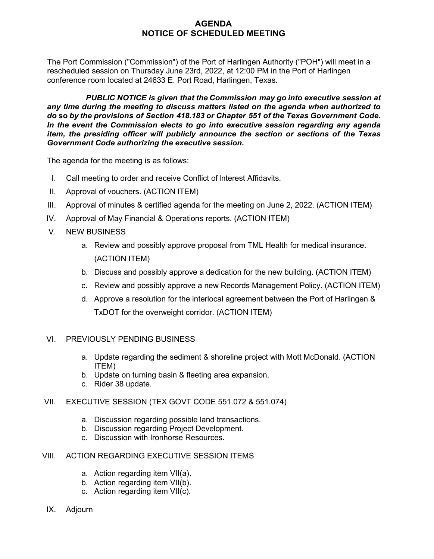## **AGENDA NOTICE OF SCHEDULED MEETING**

The Port Commission ("Commission") of the Port of Harlingen Authority ("POH") will meet in a rescheduled session on Thursday June 23rd, 2022, at 12:00 PM in the Port of Harlingen conference room located at 24633 E. Port Road, Harlingen, Texas.

*PUBLIC NOTICE is given that the Commission may go into executive session at any time during the meeting to discuss matters listed on the agenda when authorized to do* **so** *by the provisions of Section 418.183 or Chapter 551 of the Texas Government Code. In the event the Commission elects to go into executive session regarding any agenda item, the presiding officer will publicly announce the section or sections of the Texas Government Code authorizing the executive session.*

The agenda for the meeting is as follows:

- I. Call meeting to order and receive Conflict of Interest Affidavits.
- II. Approval of vouchers. (ACTION ITEM)
- III. Approval of minutes & certified agenda for the meeting on June 2, 2022. (ACTION ITEM)
- IV. Approval of May Financial & Operations reports. (ACTION ITEM)
- V. NEW BUSINESS
	- a. Review and possibly approve proposal from TML Health for medical insurance. (ACTION ITEM)
	- b. Discuss and possibly approve a dedication for the new building. (ACTION ITEM)
	- c. Review and possibly approve a new Records Management Policy. (ACTION ITEM)
	- d. Approve a resolution for the interlocal agreement between the Port of Harlingen & TxDOT for the overweight corridor. (ACTION ITEM)

#### VI. PREVIOUSLY PENDING BUSINESS

- a. Update regarding the sediment & shoreline project with Mott McDonald. (ACTION ITEM)
- b. Update on turning basin & fleeting area expansion.
- c. Rider 38 update.

#### VII. EXECUTIVE SESSION (TEX GOVT CODE 551.072 & 551.074)

- a. Discussion regarding possible land transactions.
- b. Discussion regarding Project Development.
- c. Discussion with Ironhorse Resources.

## VIII. ACTION REGARDING EXECUTIVE SESSION ITEMS

- a. Action regarding item VII(a).
- b. Action regarding item VII(b).
- c. Action regarding item VII(c).
- IX. Adjourn